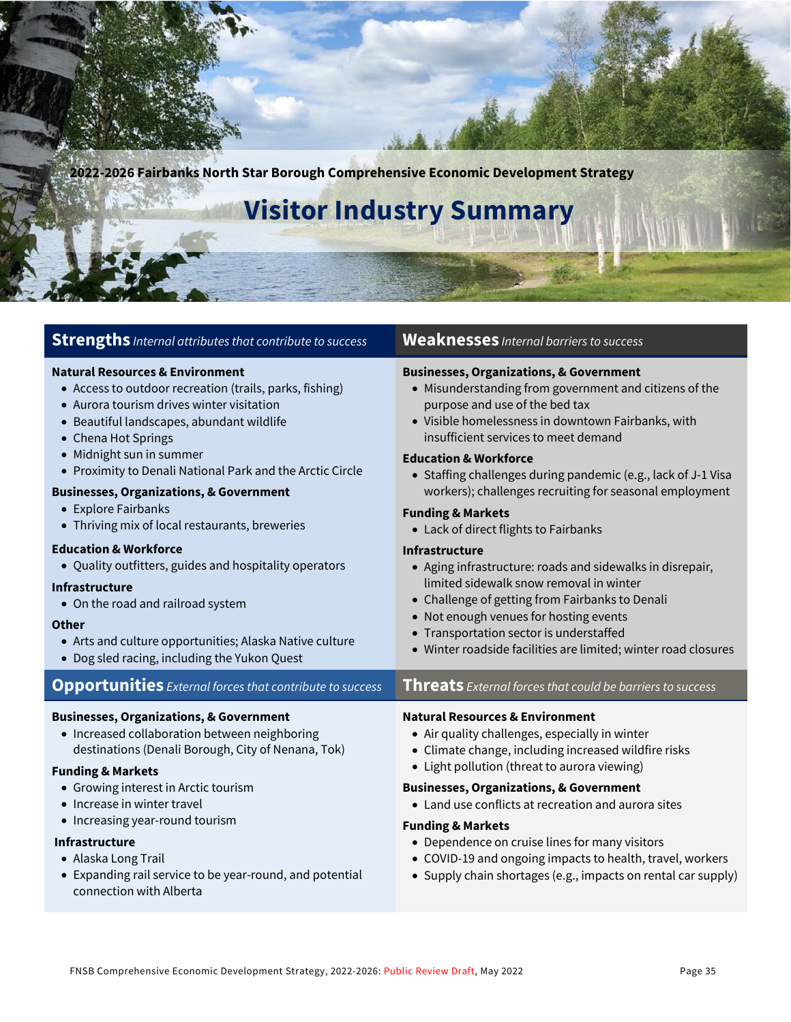**2022-2026 Fairbanks North Star Borough Comprehensive Economic Development Strategy Visitor Industry Summary Strengths** *Internal attributes that contribute to success* **Weaknesses** *Internal barriers to success* **Natural Resources & Environment** • Access to outdoor recreation (trails, parks, fishing) • Aurora tourism drives winter visitation • Beautiful landscapes, abundant wildlife • Chena Hot Springs • Midnight sun in summer • Proximity to Denali National Park and the Arctic Circle **Businesses, Organizations, & Government** • Explore Fairbanks • Thriving mix of local restaurants, breweries **Education & Workforce** • Quality outfitters, guides and hospitality operators **Infrastructure** • On the road and railroad system **Other** • Arts and culture opportunities; Alaska Native culture • Dog sled racing, including the Yukon Quest **Businesses, Organizations, & Government** • Misunderstanding from government and citizens of the purpose and use of the bed tax • Visible homelessness in downtown Fairbanks, with insufficient services to meet demand **Education & Workforce** • Staffing challenges during pandemic (e.g., lack of J-1 Visa workers); challenges recruiting for seasonal employment **Funding & Markets** • Lack of direct flights to Fairbanks **Infrastructure**  • Aging infrastructure: roads and sidewalks in disrepair, limited sidewalk snow removal in winter • Challenge of getting from Fairbanks to Denali • Not enough venues for hosting events • Transportation sector is understaffed • Winter roadside facilities are limited; winter road closures **Opportunities** *External forces that contribute to success* **Threats** *External forces that could be barriers to success* **Businesses, Organizations, & Government** • Increased collaboration between neighboring destinations (Denali Borough, City of Nenana, Tok) **Funding & Markets** • Growing interest in Arctic tourism • Increase in winter travel • Increasing year-round tourism  **Infrastructure**  • Alaska Long Trail • Expanding rail service to be year-round, and potential connection with Alberta **Natural Resources & Environment** • Air quality challenges, especially in winter • Climate change, including increased wildfire risks • Light pollution (threat to aurora viewing) **Businesses, Organizations, & Government** • Land use conflicts at recreation and aurora sites **Funding & Markets** • Dependence on cruise lines for many visitors • COVID-19 and ongoing impacts to health, travel, workers • Supply chain shortages (e.g., impacts on rental car supply)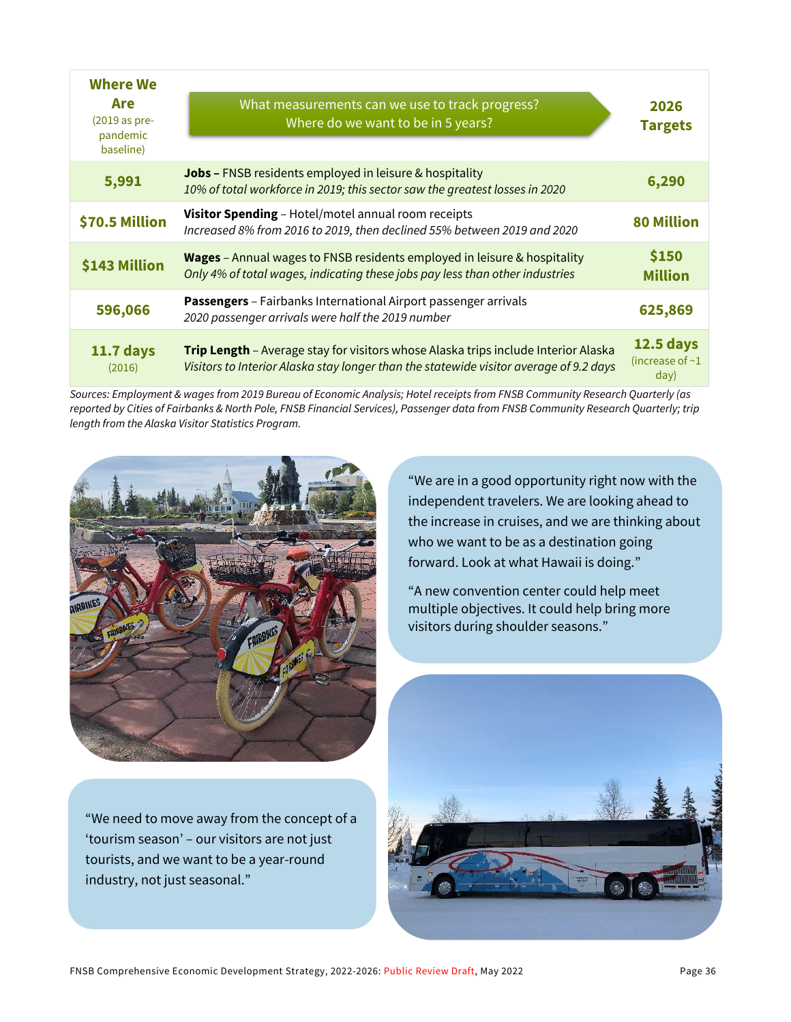| <b>Where We</b><br>Are<br>$(2019$ as pre-<br>pandemic<br>baseline) | What measurements can we use to track progress?<br>Where do we want to be in 5 years?                                                                                        | 2026<br><b>Targets</b>                            |
|--------------------------------------------------------------------|------------------------------------------------------------------------------------------------------------------------------------------------------------------------------|---------------------------------------------------|
| 5,991                                                              | <b>Jobs - FNSB residents employed in leisure &amp; hospitality</b><br>10% of total workforce in 2019; this sector saw the greatest losses in 2020                            | 6,290                                             |
| \$70.5 Million                                                     | Visitor Spending - Hotel/motel annual room receipts<br>Increased 8% from 2016 to 2019, then declined 55% between 2019 and 2020                                               | <b>80 Million</b>                                 |
| \$143 Million                                                      | Wages - Annual wages to FNSB residents employed in leisure & hospitality<br>Only 4% of total wages, indicating these jobs pay less than other industries                     | \$150<br><b>Million</b>                           |
| 596,066                                                            | Passengers - Fairbanks International Airport passenger arrivals<br>2020 passenger arrivals were half the 2019 number                                                         | 625,869                                           |
| <b>11.7 days</b><br>(2016)                                         | Trip Length - Average stay for visitors whose Alaska trips include Interior Alaska<br>Visitors to Interior Alaska stay longer than the statewide visitor average of 9.2 days | <b>12.5 days</b><br>(increase of $\sim$ 1<br>day) |

*Sources: Employment & wages from 2019 Bureau of Economic Analysis; Hotel receipts from FNSB Community Research Quarterly (as reported by Cities of Fairbanks & North Pole, FNSB Financial Services), Passenger data from FNSB Community Research Quarterly; trip length from the Alaska Visitor Statistics Program.* 



"We need to move away from the concept of a 'tourism season' – our visitors are not just tourists, and we want to be a year-round industry, not just seasonal."

"We are in a good opportunity right now with the independent travelers. We are looking ahead to the increase in cruises, and we are thinking about who we want to be as a destination going forward. Look at what Hawaii is doing."

"A new convention center could help meet multiple objectives. It could help bring more visitors during shoulder seasons."

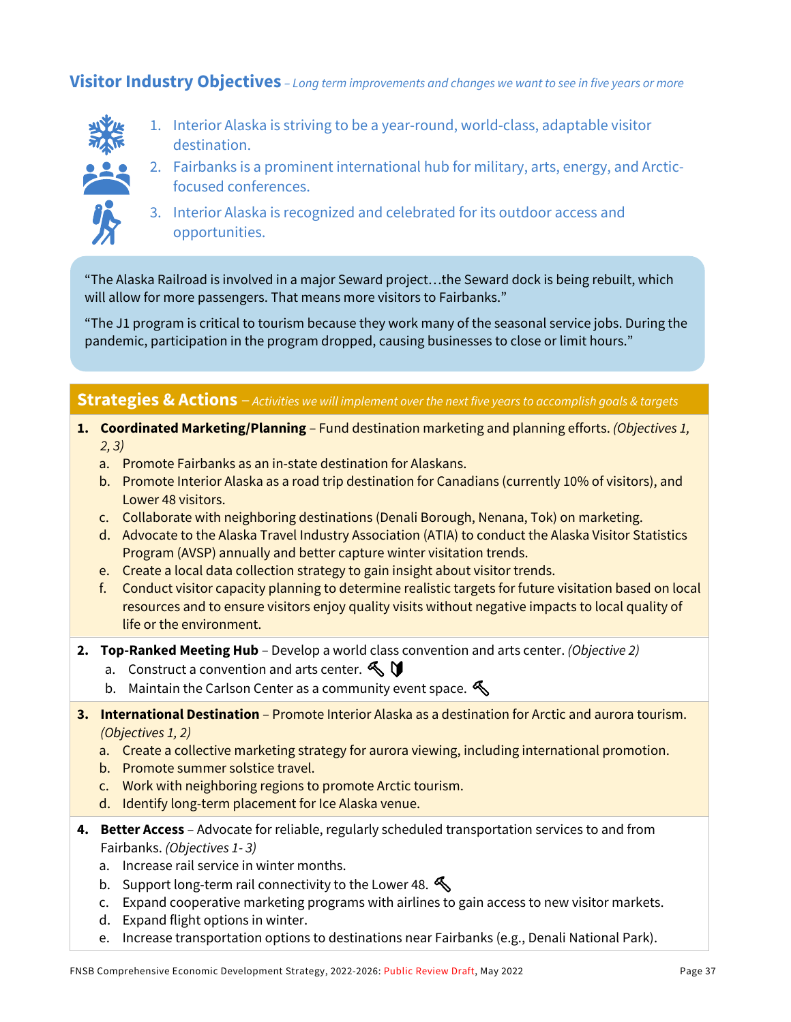**Visitor Industry Objectives** *– Long term improvements and changes we want to see in five years or more*

- 
- 1. Interior Alaska is striving to be a year-round, world-class, adaptable visitor destination.



- 2. Fairbanks is a prominent international hub for military, arts, energy, and Arcticfocused conferences.
- 3. Interior Alaska is recognized and celebrated for its outdoor access and opportunities.

"The Alaska Railroad is involved in a major Seward project…the Seward dock is being rebuilt, which will allow for more passengers. That means more visitors to Fairbanks."

"The J1 program is critical to tourism because they work many of the seasonal service jobs. During the pandemic, participation in the program dropped, causing businesses to close or limit hours."

### **Strategies & Actions** – *Activities we will implement over the next five years to accomplish goals & targets*

- **1. Coordinated Marketing/Planning** Fund destination marketing and planning efforts. *(Objectives 1, 2, 3)*
	- a. Promote Fairbanks as an in-state destination for Alaskans.
	- b. Promote Interior Alaska as a road trip destination for Canadians (currently 10% of visitors), and Lower 48 visitors.
	- c. Collaborate with neighboring destinations (Denali Borough, Nenana, Tok) on marketing.
	- d. Advocate to the Alaska Travel Industry Association (ATIA) to conduct the Alaska Visitor Statistics Program (AVSP) annually and better capture winter visitation trends.
	- e. Create a local data collection strategy to gain insight about visitor trends.
	- f. Conduct visitor capacity planning to determine realistic targets for future visitation based on local resources and to ensure visitors enjoy quality visits without negative impacts to local quality of life or the environment.
- **2. Top-Ranked Meeting Hub** Develop a world class convention and arts center. *(Objective 2)*
	- a. Construct a convention and arts center.  $\mathbb{S}$
	- b. Maintain the Carlson Center as a community event space.  $\mathcal{L}$
- **3. International Destination** Promote Interior Alaska as a destination for Arctic and aurora tourism. *(Objectives 1, 2)*
	- a. Create a collective marketing strategy for aurora viewing, including international promotion.
	- b. Promote summer solstice travel.
	- c. Work with neighboring regions to promote Arctic tourism.
	- d. Identify long-term placement for Ice Alaska venue.
- **4. Better Access**  Advocate for reliable, regularly scheduled transportation services to and from Fairbanks. *(Objectives 1- 3)*
	- a. Increase rail service in winter months.
	- b. Support long-term rail connectivity to the Lower 48.
	- c. Expand cooperative marketing programs with airlines to gain access to new visitor markets.
	- d. Expand flight options in winter.
	- e. Increase transportation options to destinations near Fairbanks (e.g., Denali National Park).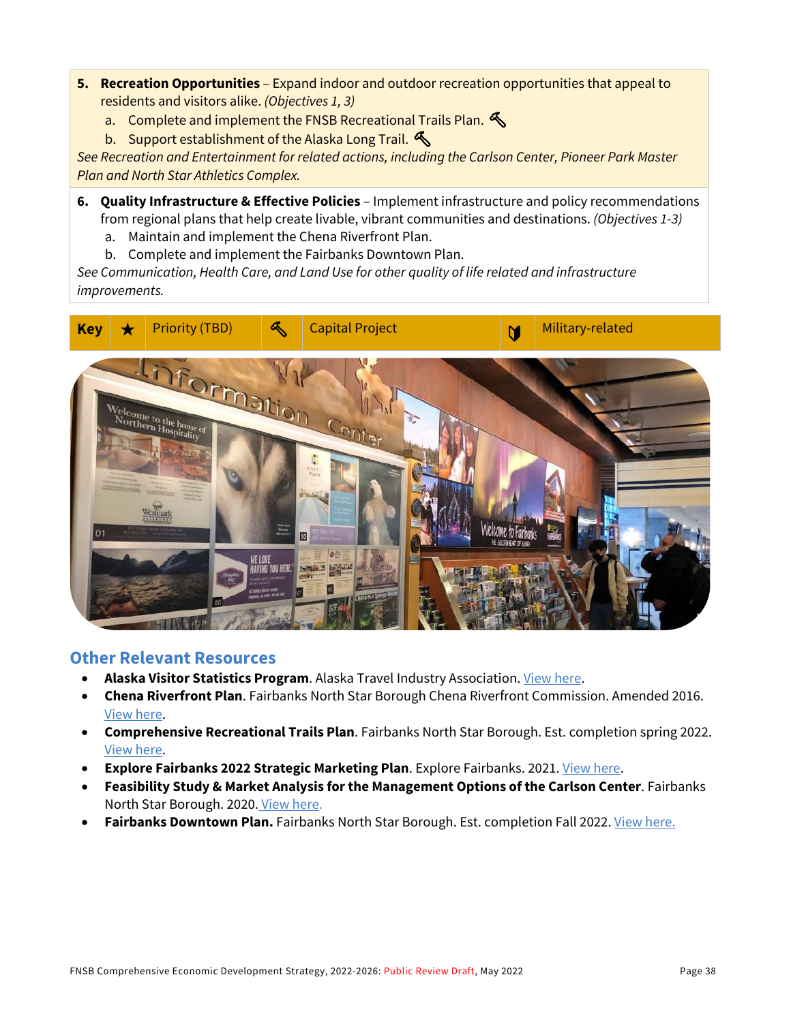- **5. Recreation Opportunities** Expand indoor and outdoor recreation opportunities that appeal to residents and visitors alike. *(Objectives 1, 3)*
	- a. Complete and implement the FNSB Recreational Trails Plan.  $\mathcal{L}$
	- b. Support establishment of the Alaska Long Trail.

*See Recreation and Entertainment for related actions, including the Carlson Center, Pioneer Park Master Plan and North Star Athletics Complex.*

- **6. Quality Infrastructure & Effective Policies** Implement infrastructure and policy recommendations from regional plans that help create livable, vibrant communities and destinations. *(Objectives 1-3)*
	- a. Maintain and implement the Chena Riverfront Plan.
	- b. Complete and implement the Fairbanks Downtown Plan.

*See Communication, Health Care, and Land Use for other quality of life related and infrastructure improvements.*



#### **Other Relevant Resources**

- **Alaska Visitor Statistics Program**. Alaska Travel Industry Association[. View here.](https://www.alaskatia.org/marketing/alaska-visitors-statistics-program-avsp-vii)
- **Chena Riverfront Plan**. Fairbanks North Star Borough Chena Riverfront Commission. Amended 2016. [View here.](https://www.fnsb.gov/DocumentCenter/View/1239/Chena-Riverfront-Plan-PDF)
- **Comprehensive Recreational Trails Plan**. Fairbanks North Star Borough. Est. completion spring 2022. [View here.](https://www.fnsbtrailsplan.com/)
- **Explore Fairbanks 2022 Strategic Marketing Plan**. Explore Fairbanks. 2021[. View here.](https://assets.simpleviewinc.com/simpleview/image/upload/v1/clients/fairbanks/2022_Explore_Fairbanks_Stratetgic_Marketing_Plan_1b8f85e5-7cf6-4b61-aa51-19b86cfc659b.pdf)
- **Feasibility Study & Market Analysis for the Management Options of the Carlson Center**. Fairbanks North Star Borough. 2020. [View here.](https://fairbanksak.myrec.com/documents/fnsb_carlson_center_study_12_2020.pdf)
- Fairbanks Downtown Plan. Fairbanks North Star Borough. Est. completion Fall 2022[. View here.](https://downtownfbx2040.com/home-2/)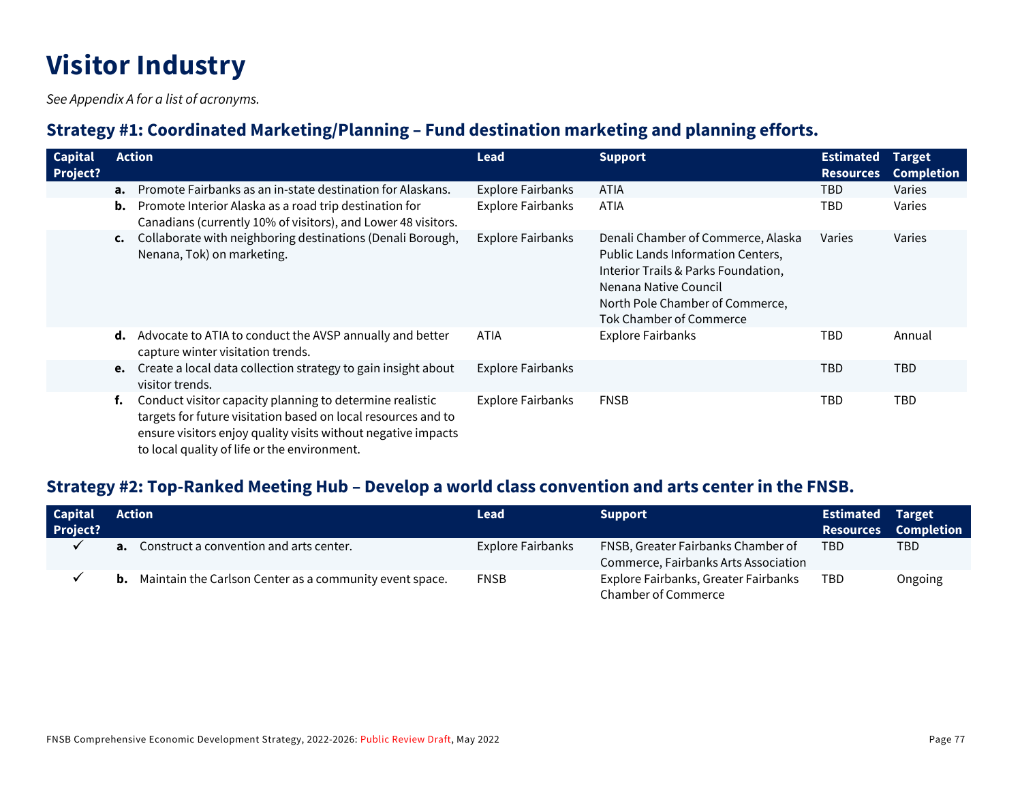# **Visitor Industry**

*See Appendix A for a list of acronyms.*

## **Strategy #1: Coordinated Marketing/Planning – Fund destination marketing and planning efforts.**

| <b>Capital</b><br><b>Project?</b> |    | <b>Action</b>                                                                                                                                                                                                                              | Lead                     | <b>Support</b>                                                                                                                                                                                        | <b>Estimated</b><br><b>Resources</b> | <b>Target</b><br><b>Completion</b> |
|-----------------------------------|----|--------------------------------------------------------------------------------------------------------------------------------------------------------------------------------------------------------------------------------------------|--------------------------|-------------------------------------------------------------------------------------------------------------------------------------------------------------------------------------------------------|--------------------------------------|------------------------------------|
|                                   | а. | Promote Fairbanks as an in-state destination for Alaskans.                                                                                                                                                                                 | <b>Explore Fairbanks</b> | <b>ATIA</b>                                                                                                                                                                                           | TBD                                  | Varies                             |
|                                   | b. | Promote Interior Alaska as a road trip destination for<br>Canadians (currently 10% of visitors), and Lower 48 visitors.                                                                                                                    | <b>Explore Fairbanks</b> | <b>ATIA</b>                                                                                                                                                                                           | TBD                                  | Varies                             |
|                                   | C. | Collaborate with neighboring destinations (Denali Borough,<br>Nenana, Tok) on marketing.                                                                                                                                                   | <b>Explore Fairbanks</b> | Denali Chamber of Commerce, Alaska<br>Public Lands Information Centers,<br>Interior Trails & Parks Foundation,<br>Nenana Native Council<br>North Pole Chamber of Commerce,<br>Tok Chamber of Commerce | Varies                               | Varies                             |
|                                   | d. | Advocate to ATIA to conduct the AVSP annually and better<br>capture winter visitation trends.                                                                                                                                              | <b>ATIA</b>              | <b>Explore Fairbanks</b>                                                                                                                                                                              | TBD                                  | Annual                             |
|                                   |    | e. Create a local data collection strategy to gain insight about<br>visitor trends.                                                                                                                                                        | <b>Explore Fairbanks</b> |                                                                                                                                                                                                       | TBD                                  | <b>TBD</b>                         |
|                                   | f. | Conduct visitor capacity planning to determine realistic<br>targets for future visitation based on local resources and to<br>ensure visitors enjoy quality visits without negative impacts<br>to local quality of life or the environment. | <b>Explore Fairbanks</b> | <b>FNSB</b>                                                                                                                                                                                           | TBD                                  | <b>TBD</b>                         |

# **Strategy #2: Top-Ranked Meeting Hub – Develop a world class convention and arts center in the FNSB.**

| <b>Capital</b><br>Project? | <b>Action</b>                                                     | <b>Lead</b>       | <b>Support</b>                       | <b>Estimated Target</b> | <b>Resources Completion</b> |
|----------------------------|-------------------------------------------------------------------|-------------------|--------------------------------------|-------------------------|-----------------------------|
|                            | <b>a.</b> Construct a convention and arts center.                 | Explore Fairbanks | FNSB, Greater Fairbanks Chamber of   | <b>TBD</b>              | TBD                         |
|                            |                                                                   |                   | Commerce, Fairbanks Arts Association |                         |                             |
|                            | <b>b.</b> Maintain the Carlson Center as a community event space. | <b>FNSB</b>       | Explore Fairbanks, Greater Fairbanks | <b>TBD</b>              | Ongoing                     |
|                            |                                                                   |                   | <b>Chamber of Commerce</b>           |                         |                             |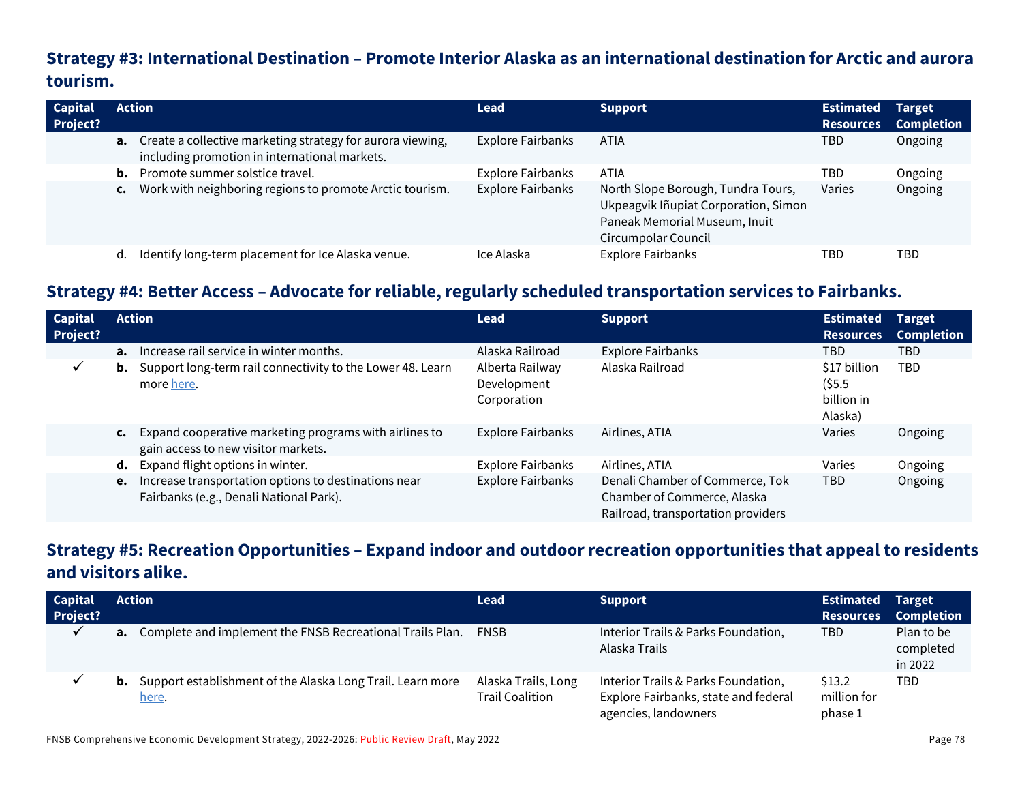# **Strategy #3: International Destination – Promote Interior Alaska as an international destination for Arctic and aurora tourism.**

| <b>Capital</b><br><b>Project?</b> |                | <b>Action</b>                                                                                                         | <b>Lead</b>              | <b>Support</b>                                                                                                                     | <b>Estimated</b><br><b>Resources</b> | <b>Target</b><br><b>Completion</b> |
|-----------------------------------|----------------|-----------------------------------------------------------------------------------------------------------------------|--------------------------|------------------------------------------------------------------------------------------------------------------------------------|--------------------------------------|------------------------------------|
|                                   |                | <b>a.</b> Create a collective marketing strategy for aurora viewing,<br>including promotion in international markets. | <b>Explore Fairbanks</b> | <b>ATIA</b>                                                                                                                        | TBD                                  | Ongoing                            |
|                                   | b.             | Promote summer solstice travel.                                                                                       | <b>Explore Fairbanks</b> | ATIA                                                                                                                               | TBD                                  | Ongoing                            |
|                                   | $\mathsf{c}$ . | Work with neighboring regions to promote Arctic tourism.                                                              | <b>Explore Fairbanks</b> | North Slope Borough, Tundra Tours,<br>Ukpeagvik Iñupiat Corporation, Simon<br>Paneak Memorial Museum, Inuit<br>Circumpolar Council | Varies                               | Ongoing                            |
|                                   | d.             | Identify long-term placement for Ice Alaska venue.                                                                    | Ice Alaska               | <b>Explore Fairbanks</b>                                                                                                           | TBD                                  | TBD                                |

## **Strategy #4: Better Access – Advocate for reliable, regularly scheduled transportation services to Fairbanks.**

| <b>Capital</b><br><b>Project?</b> |                | <b>Action</b>                                                                                   | <b>Lead</b>                                   | <b>Support</b>                                                                                       | Estimated<br><b>Resources</b>                      | <b>Target</b><br><b>Completion</b> |
|-----------------------------------|----------------|-------------------------------------------------------------------------------------------------|-----------------------------------------------|------------------------------------------------------------------------------------------------------|----------------------------------------------------|------------------------------------|
|                                   |                | <b>a.</b> Increase rail service in winter months.                                               | Alaska Railroad                               | <b>Explore Fairbanks</b>                                                                             | TBD.                                               | <b>TBD</b>                         |
| ✓                                 | b.             | Support long-term rail connectivity to the Lower 48. Learn<br>more here.                        | Alberta Railway<br>Development<br>Corporation | Alaska Railroad                                                                                      | \$17 billion<br>$($ \$5.5<br>billion in<br>Alaska) | <b>TBD</b>                         |
|                                   | $\mathsf{c}$ . | Expand cooperative marketing programs with airlines to<br>gain access to new visitor markets.   | Explore Fairbanks                             | Airlines, ATIA                                                                                       | Varies                                             | Ongoing                            |
|                                   | d.             | Expand flight options in winter.                                                                | <b>Explore Fairbanks</b>                      | Airlines, ATIA                                                                                       | Varies                                             | Ongoing                            |
|                                   | e.             | Increase transportation options to destinations near<br>Fairbanks (e.g., Denali National Park). | <b>Explore Fairbanks</b>                      | Denali Chamber of Commerce, Tok<br>Chamber of Commerce, Alaska<br>Railroad, transportation providers | <b>TBD</b>                                         | Ongoing                            |

# **Strategy #5: Recreation Opportunities – Expand indoor and outdoor recreation opportunities that appeal to residents and visitors alike.**

| <b>Capital</b>  |    | <b>Action</b>                                                                 | <b>Lead</b>                                   | <b>Support</b>                                                                                      | <b>Estimated Target</b>          |                                    |
|-----------------|----|-------------------------------------------------------------------------------|-----------------------------------------------|-----------------------------------------------------------------------------------------------------|----------------------------------|------------------------------------|
| <b>Project?</b> |    |                                                                               |                                               |                                                                                                     | <b>Resources</b>                 | <b>Completion</b>                  |
| $\checkmark$    | а. | Complete and implement the FNSB Recreational Trails Plan.                     | <b>FNSB</b>                                   | Interior Trails & Parks Foundation,<br>Alaska Trails                                                | TBD.                             | Plan to be<br>completed<br>in 2022 |
| v               |    | <b>b.</b> Support establishment of the Alaska Long Trail. Learn more<br>here. | Alaska Trails, Long<br><b>Trail Coalition</b> | Interior Trails & Parks Foundation,<br>Explore Fairbanks, state and federal<br>agencies, landowners | \$13.2<br>million for<br>phase 1 | TBD                                |